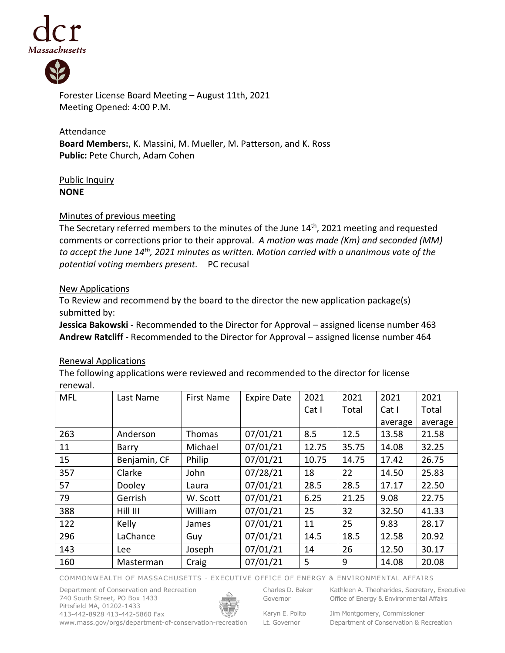



Forester License Board Meeting – August 11th, 2021 Meeting Opened: 4:00 P.M.

**Attendance Board Members:**, K. Massini, M. Mueller, M. Patterson, and K. Ross Public: Pete Church, Adam Cohen

## Public Inquiry **NONE**

## Minutes of previous meeting

The Secretary referred members to the minutes of the June 14<sup>th</sup>, 2021 meeting and requested comments or corrections prior to their approval. *A motion was made (Km) and seconded (MM) to accept the June 14th , 2021 minutes as written. Motion carried with a unanimous vote of the potential voting members present.* PC recusal

## New Applications

To Review and recommend by the board to the director the new application package(s) submitted by:

**Jessica Bakowski** - Recommended to the Director for Approval – assigned license number 463 **Andrew Ratcliff** - Recommended to the Director for Approval – assigned license number 464

## Renewal Applications

The following applications were reviewed and recommended to the director for license renewal.

| <b>MFL</b> | Last Name    | <b>First Name</b> | <b>Expire Date</b> | 2021  | 2021  | 2021    | 2021    |
|------------|--------------|-------------------|--------------------|-------|-------|---------|---------|
|            |              |                   |                    | Cat I | Total | Cat I   | Total   |
|            |              |                   |                    |       |       | average | average |
| 263        | Anderson     | Thomas            | 07/01/21           | 8.5   | 12.5  | 13.58   | 21.58   |
| 11         | Barry        | Michael           | 07/01/21           | 12.75 | 35.75 | 14.08   | 32.25   |
| 15         | Benjamin, CF | Philip            | 07/01/21           | 10.75 | 14.75 | 17.42   | 26.75   |
| 357        | Clarke       | John              | 07/28/21           | 18    | 22    | 14.50   | 25.83   |
| 57         | Dooley       | Laura             | 07/01/21           | 28.5  | 28.5  | 17.17   | 22.50   |
| 79         | Gerrish      | W. Scott          | 07/01/21           | 6.25  | 21.25 | 9.08    | 22.75   |
| 388        | Hill III     | William           | 07/01/21           | 25    | 32    | 32.50   | 41.33   |
| 122        | Kelly        | James             | 07/01/21           | 11    | 25    | 9.83    | 28.17   |
| 296        | LaChance     | Guy               | 07/01/21           | 14.5  | 18.5  | 12.58   | 20.92   |
| 143        | Lee          | Joseph            | 07/01/21           | 14    | 26    | 12.50   | 30.17   |
| 160        | Masterman    | Craig             | 07/01/21           | 5     | 9     | 14.08   | 20.08   |

COMMONWEALTH OF MASSACHUSETTS · EXECUTIVE OFFICE OF ENERGY & ENVIRONMENTAL AFFAIRS

Department of Conservation and Recreation 740 South Street, PO Box 1433 Pittsfield MA, 01202-1433 413-442-8928 413-442-5860 Fax



Charles D. Baker Governor

Lt. Governor

Kathleen A. Theoharides, Secretary, Executive

Karyn E. Polito Office of Energy & Environmental Affairs

Jim Montgomery, Commissioner Department of Conservation & Recreation

www.mass.gov/orgs/department-of-conservation-recreation